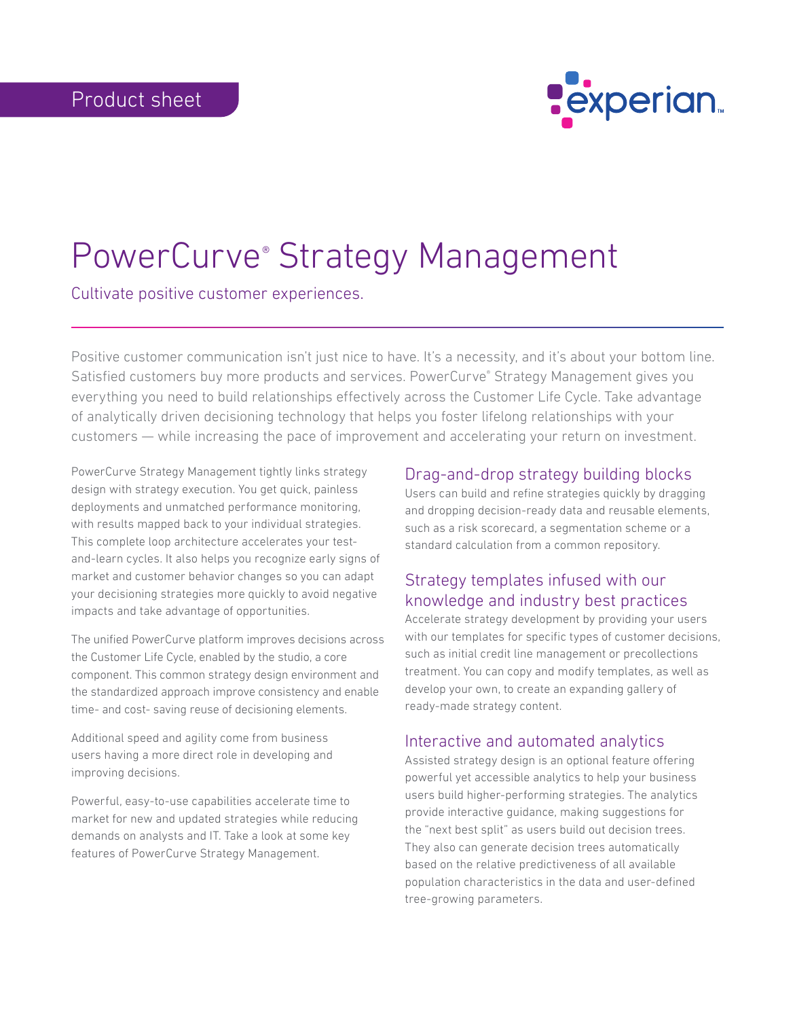

# PowerCurve® Strategy Management

Cultivate positive customer experiences.

Positive customer communication isn't just nice to have. It's a necessity, and it's about your bottom line. Satisfied customers buy more products and services. PowerCurve® Strategy Management gives you everything you need to build relationships effectively across the Customer Life Cycle. Take advantage of analytically driven decisioning technology that helps you foster lifelong relationships with your customers — while increasing the pace of improvement and accelerating your return on investment.

PowerCurve Strategy Management tightly links strategy design with strategy execution. You get quick, painless deployments and unmatched performance monitoring, with results mapped back to your individual strategies. This complete loop architecture accelerates your testand-learn cycles. It also helps you recognize early signs of market and customer behavior changes so you can adapt your decisioning strategies more quickly to avoid negative impacts and take advantage of opportunities.

The unified PowerCurve platform improves decisions across the Customer Life Cycle, enabled by the studio, a core component. This common strategy design environment and the standardized approach improve consistency and enable time- and cost- saving reuse of decisioning elements.

Additional speed and agility come from business users having a more direct role in developing and improving decisions.

Powerful, easy-to-use capabilities accelerate time to market for new and updated strategies while reducing demands on analysts and IT. Take a look at some key features of PowerCurve Strategy Management.

### Drag-and-drop strategy building blocks

Users can build and refine strategies quickly by dragging and dropping decision-ready data and reusable elements, such as a risk scorecard, a segmentation scheme or a standard calculation from a common repository.

## Strategy templates infused with our knowledge and industry best practices

Accelerate strategy development by providing your users with our templates for specific types of customer decisions, such as initial credit line management or precollections treatment. You can copy and modify templates, as well as develop your own, to create an expanding gallery of ready-made strategy content.

#### Interactive and automated analytics

Assisted strategy design is an optional feature offering powerful yet accessible analytics to help your business users build higher-performing strategies. The analytics provide interactive guidance, making suggestions for the "next best split" as users build out decision trees. They also can generate decision trees automatically based on the relative predictiveness of all available population characteristics in the data and user-defined tree-growing parameters.